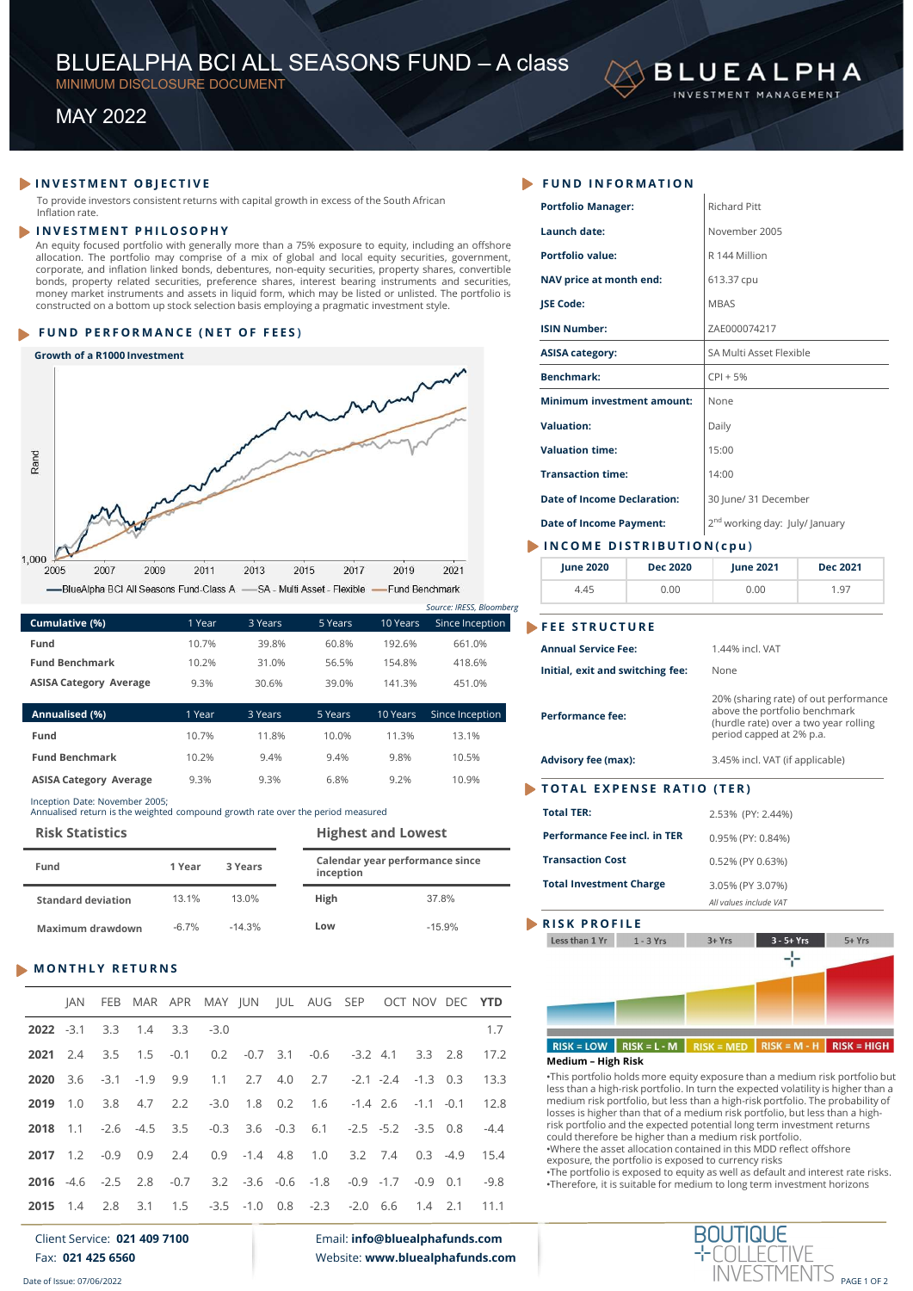# BLUEALPHA BCI ALL SEASONS FUND – A class<br>
MINIMUM DISCLOSURE DOCUMENT<br>
MAY 2022 BLUEALPHA BCI ALL SEASONS FUND — A class<br>
MINIMUM DISCLOSURE DOCUMENT<br>
MAY 2022 BLUEALPHA BCI ALL SEASONS FUND — A class<br>
MINIMUM DISCLOSURE DOCUMENT<br>
MAY 2022<br>
VESTIMENT OBJECTIVE<br>
FUND IN





|                               |        |         |         |          | JUULLE, INEJJ, DIUUIHUt |
|-------------------------------|--------|---------|---------|----------|-------------------------|
| Cumulative (%)                | 1 Year | 3 Years | 5 Years | 10 Years | Since Inception         |
| Fund                          | 10.7%  | 39.8%   | 60.8%   | 192.6%   | 661.0%                  |
| <b>Fund Benchmark</b>         | 10.2%  | 31.0%   | 56.5%   | 154.8%   | 418.6%                  |
| <b>ASISA Category Average</b> | 9.3%   | 30.6%   | 39.0%   | 141.3%   | 451.0%                  |
|                               |        |         |         |          |                         |

| Annualised (%)                | 1 Year | 3 Years | 5 Years | 10 Years | Since Inception |
|-------------------------------|--------|---------|---------|----------|-----------------|
| Fund                          | 10.7%  | 118%    | 10.0%   | 11 3%    | 13.1%           |
| <b>Fund Benchmark</b>         | 10.2%  | 9.4%    | 9.4%    | 9.8%     | 10.5%           |
| <b>ASISA Category Average</b> | 9.3%   | 9.3%    | 6.8%    | 9.2%     | 10.9%           |

| Fund                      | 1 Year  | 3 Years  | inception | Calendar year performance since | <b>Transaction Cost</b><br><b>Total Investment Charge</b> |
|---------------------------|---------|----------|-----------|---------------------------------|-----------------------------------------------------------|
| <b>Standard deviation</b> | 13.1%   | 13.0%    | High      | 37.8%                           |                                                           |
| Maximum drawdown          | $-6.7%$ | $-14.3%$ | Low       | $-15.9%$                        | RISK PROFILE                                              |

|                      |                       |                               |                                |         |        |          |        | -BlueAlpha BCI All Seasons Fund-Class A -SA - Multi Asset - Flexible - Fund Benchmark |                                 |          |        |                 |                                 | 4.45                                                                                                                          | 0.00           | 0.00                                       |               | 1.97                                                                                                                                                                |
|----------------------|-----------------------|-------------------------------|--------------------------------|---------|--------|----------|--------|---------------------------------------------------------------------------------------|---------------------------------|----------|--------|-----------------|---------------------------------|-------------------------------------------------------------------------------------------------------------------------------|----------------|--------------------------------------------|---------------|---------------------------------------------------------------------------------------------------------------------------------------------------------------------|
|                      |                       |                               |                                |         |        |          |        |                                                                                       |                                 |          |        |                 | Source: IRESS, Bloomberg        |                                                                                                                               |                |                                            |               |                                                                                                                                                                     |
|                      | Cumulative (%)        |                               |                                |         | 1 Year | 3 Years  |        | 5 Years                                                                               |                                 | 10 Years |        |                 | Since Inception                 | <b>FEE STRUCTURE</b>                                                                                                          |                |                                            |               |                                                                                                                                                                     |
| Fund                 |                       |                               |                                |         | 10.7%  |          | 39.8%  | 60.8%                                                                                 |                                 | 192.6%   |        | 661.0%          |                                 | <b>Annual Service Fee:</b>                                                                                                    |                | 1.44% incl. VAT                            |               |                                                                                                                                                                     |
|                      | <b>Fund Benchmark</b> |                               |                                |         | 10.2%  |          | 31.0%  | 56.5%                                                                                 |                                 | 154.8%   |        | 418.6%          |                                 | Initial, exit and switching fee:                                                                                              |                | None                                       |               |                                                                                                                                                                     |
|                      |                       | <b>ASISA Category Average</b> |                                |         | 9.3%   | 30.6%    |        | 39.0%                                                                                 |                                 | 141.3%   |        | 451.0%          |                                 |                                                                                                                               |                |                                            |               | 20% (sharing rate) of out performance                                                                                                                               |
|                      | Annualised (%)        |                               |                                |         | 1 Year | 3 Years  |        | 5 Years                                                                               |                                 | 10 Years |        | Since Inception |                                 | <b>Performance fee:</b>                                                                                                       |                |                                            |               | above the portfolio benchmark<br>(hurdle rate) over a two year rolling                                                                                              |
| Fund                 |                       |                               |                                |         | 10.7%  |          | 11.8%  | 10.0%                                                                                 |                                 | 11.3%    |        | 13.1%           |                                 |                                                                                                                               |                | period capped at 2% p.a.                   |               |                                                                                                                                                                     |
|                      | <b>Fund Benchmark</b> |                               |                                |         | 10.2%  |          | 9.4%   | 9.4%                                                                                  |                                 | 9.8%     |        | 10.5%           |                                 | <b>Advisory fee (max):</b>                                                                                                    |                | 3.45% incl. VAT (if applicable)            |               |                                                                                                                                                                     |
|                      |                       | <b>ASISA Category Average</b> |                                |         | 9.3%   |          | 9.3%   | 6.8%                                                                                  |                                 | 9.2%     |        | 10.9%           |                                 | <b>TOTAL EXPENSE RATIO (TER)</b>                                                                                              |                |                                            |               |                                                                                                                                                                     |
|                      |                       |                               | Inception Date: November 2005; |         |        |          |        | Annualised return is the weighted compound growth rate over the period measured       |                                 |          |        |                 |                                 | <b>Total TER:</b>                                                                                                             |                | 2.53% (PY: 2.44%)                          |               |                                                                                                                                                                     |
|                      |                       | <b>Risk Statistics</b>        |                                |         |        |          |        |                                                                                       | <b>Highest and Lowest</b>       |          |        |                 |                                 | Performance Fee incl. in TER                                                                                                  |                | 0.95% (PY: 0.84%)                          |               |                                                                                                                                                                     |
|                      |                       |                               |                                |         |        |          |        |                                                                                       | Calendar year performance since |          |        |                 |                                 | <b>Transaction Cost</b>                                                                                                       |                | 0.52% (PY 0.63%)                           |               |                                                                                                                                                                     |
| Fund                 |                       |                               |                                | 1 Year  |        | 3 Years  |        | inception                                                                             |                                 |          |        |                 |                                 | <b>Total Investment Charge</b>                                                                                                |                |                                            |               |                                                                                                                                                                     |
|                      |                       | <b>Standard deviation</b>     |                                | 13.1%   |        | 13.0%    |        | High                                                                                  |                                 |          |        | 37.8%           |                                 |                                                                                                                               |                | 3.05% (PY 3.07%)<br>All values include VAT |               |                                                                                                                                                                     |
|                      |                       |                               |                                |         |        |          |        |                                                                                       |                                 |          |        |                 |                                 | <b>RISK PROFILE</b>                                                                                                           |                |                                            |               |                                                                                                                                                                     |
|                      |                       |                               |                                | $-6.7%$ |        | $-14.3%$ |        | Low                                                                                   |                                 |          |        | $-15.9%$        |                                 |                                                                                                                               |                |                                            |               |                                                                                                                                                                     |
|                      |                       | Maximum drawdown              |                                |         |        |          |        |                                                                                       |                                 |          |        |                 |                                 | Less than 1 Yr                                                                                                                | $1 - 3$ Yrs    | 3+ Yrs                                     | $3 - 5 + Yrs$ | 5+ Yrs                                                                                                                                                              |
|                      |                       |                               | <b>MONTHLY RETURNS</b>         |         |        |          |        |                                                                                       |                                 |          |        |                 |                                 |                                                                                                                               |                |                                            | ⊹             |                                                                                                                                                                     |
|                      |                       |                               |                                |         |        |          |        |                                                                                       |                                 |          |        |                 |                                 |                                                                                                                               |                |                                            |               |                                                                                                                                                                     |
|                      | JAN                   | <b>FEB</b>                    |                                | MAR APR |        |          |        | MAY JUN JUL AUG SEP                                                                   |                                 |          |        | OCT NOV DEC YTD |                                 |                                                                                                                               |                |                                            |               |                                                                                                                                                                     |
|                      |                       | 3.3                           | 1.4                            | 3.3     | $-3.0$ |          |        |                                                                                       |                                 |          |        |                 | 1.7                             |                                                                                                                               |                |                                            |               |                                                                                                                                                                     |
| $2022 - 3.1$<br>2021 | 2.4                   | 3.5                           | 1.5                            | $-0.1$  | 0.2    | $-0.7$   | 3.1    | $-0.6$                                                                                | $-3.2$ 4.1                      |          | 3.3    | 2.8             | 17.2                            | $RISK = LOW$                                                                                                                  | $RISK = L - M$ |                                            |               | $RISK = MED$ RISK = M - H RISK = HIGH                                                                                                                               |
| 2020                 | 3.6                   | $-3.1$                        | $-1.9$                         | 9.9     | 1.1    | 2.7      | 4.0    | 2.7                                                                                   | $-2.1 -2.4$                     |          | $-1.3$ | 0.3             | 13.3                            | <b>Medium - High Risk</b>                                                                                                     |                |                                            |               | •This portfolio holds more equity exposure than a medium risk portfolio but                                                                                         |
| 2019                 | 1.0                   | 3.8                           | 4.7                            | 2.2     | $-3.0$ | 1.8      | 0.2    | 1.6                                                                                   | $-1.4$ 2.6                      |          | $-1.1$ | $-0.1$          | 12.8                            |                                                                                                                               |                |                                            |               | less than a high-risk portfolio. In turn the expected volatility is higher than a<br>medium risk portfolio, but less than a high-risk portfolio. The probability of |
| 2018                 | 1.1                   | $-2.6$                        | $-4.5$                         | 3.5     | $-0.3$ | 3.6      | $-0.3$ | 6.1                                                                                   | $-2.5$                          | $-5.2$   | $-3.5$ | 0.8             | $-4.4$                          | risk portfolio and the expected potential long term investment returns                                                        |                |                                            |               | losses is higher than that of a medium risk portfolio, but less than a high-                                                                                        |
|                      |                       |                               |                                |         |        |          |        |                                                                                       |                                 |          |        |                 |                                 | could therefore be higher than a medium risk portfolio.<br>.Where the asset allocation contained in this MDD reflect offshore |                |                                            |               |                                                                                                                                                                     |
| 2017                 | 1.2                   | $-0.9$                        | 0.9                            | 2.4     | 0.9    | $-1.4$   | 4.8    | 1.0                                                                                   | 3.2                             | 7.4      | 0.3    | $-4.9$          | 15.4                            | exposure, the portfolio is exposed to currency risks                                                                          |                |                                            |               | .The portfolio is exposed to equity as well as default and interest rate risks.                                                                                     |
| 2016                 | $-4.6$                | $-2.5$                        | 2.8                            | $-0.7$  | 3.2    | $-3.6$   | $-0.6$ | $-1.8$                                                                                | $-0.9$                          | $-1.7$   | $-0.9$ | 0.1             | $-9.8$                          | •Therefore, it is suitable for medium to long term investment horizons                                                        |                |                                            |               |                                                                                                                                                                     |
| 2015                 | 1.4                   | 2.8                           | 3.1                            | 1.5     | $-3.5$ | $-1.0$   | 0.8    | $-2.3$                                                                                | $-2.0$                          | 6.6      | 1.4    | 2.1             | 11.1                            |                                                                                                                               |                |                                            |               |                                                                                                                                                                     |
|                      |                       |                               | Client Service: 021 409 7100   |         |        |          |        |                                                                                       | Email: info@bluealphafunds.com  |          |        |                 |                                 |                                                                                                                               |                | <b>BOUTIQUE</b>                            |               |                                                                                                                                                                     |
|                      |                       | Fax: 021 425 6560             |                                |         |        |          |        |                                                                                       |                                 |          |        |                 | Website: www.bluealphafunds.com |                                                                                                                               |                |                                            |               | INVESTMENTS PAGE 1 OF 2                                                                                                                                             |

| BLUEALPHA BCI ALL SEASONS FUND - A class<br>MINIMUM DISCLOSURE DOCUMENT                                                                                                                                       |               |                |                |                  |                          |                                              |                                   | <b>BLUEALPHA</b>                                                       |                                       |
|---------------------------------------------------------------------------------------------------------------------------------------------------------------------------------------------------------------|---------------|----------------|----------------|------------------|--------------------------|----------------------------------------------|-----------------------------------|------------------------------------------------------------------------|---------------------------------------|
| <b>MAY 2022</b>                                                                                                                                                                                               |               |                |                |                  |                          |                                              |                                   | INVESTMENT MANAGEMENT                                                  |                                       |
| INVESTMENT OBJECTIVE                                                                                                                                                                                          |               |                |                |                  |                          | FUND INFORMATION                             |                                   |                                                                        |                                       |
| To provide investors consistent returns with capital growth in excess of the South African<br>Inflation rate.                                                                                                 |               |                |                |                  |                          | <b>Portfolio Manager:</b>                    |                                   | Richard Pitt                                                           |                                       |
| <b>INVESTMENT PHILOSOPHY</b>                                                                                                                                                                                  |               |                |                |                  |                          | Launch date:                                 |                                   | November 2005                                                          |                                       |
| An equity focused portfolio with generally more than a 75% exposure to equity, including an offshore<br>allocation. The portfolio may comprise of a mix of global and local equity securities, government,    |               |                |                |                  |                          | <b>Portfolio value:</b>                      |                                   | R 144 Million                                                          |                                       |
| corporate, and inflation linked bonds, debentures, non-equity securities, property shares, convertible<br>bonds, property related securities, preference shares, interest bearing instruments and securities, |               |                |                |                  |                          | NAV price at month end:                      |                                   | 613.37 cpu                                                             |                                       |
| money market instruments and assets in liquid form, which may be listed or unlisted. The portfolio is<br>constructed on a bottom up stock selection basis employing a pragmatic investment style.             |               |                |                |                  |                          | <b>JSE Code:</b>                             |                                   | <b>MBAS</b>                                                            |                                       |
| FUND PERFORMANCE (NET OF FEES)                                                                                                                                                                                |               |                |                |                  |                          | <b>ISIN Number:</b>                          |                                   | ZAE000074217                                                           |                                       |
|                                                                                                                                                                                                               |               |                |                |                  |                          | <b>ASISA category:</b>                       |                                   | SA Multi Asset Flexible                                                |                                       |
| Growth of a R1000 Investment                                                                                                                                                                                  |               |                |                |                  |                          | <b>Benchmark:</b>                            |                                   | $CPI + 5%$                                                             |                                       |
|                                                                                                                                                                                                               |               |                |                | monda            |                          |                                              | <b>Minimum investment amount:</b> | None                                                                   |                                       |
|                                                                                                                                                                                                               |               |                |                |                  |                          | <b>Valuation:</b>                            |                                   | Daily                                                                  |                                       |
|                                                                                                                                                                                                               |               |                |                |                  |                          | <b>Valuation time:</b>                       |                                   | 15:00                                                                  |                                       |
| Rand                                                                                                                                                                                                          |               |                |                |                  |                          | <b>Transaction time:</b>                     |                                   | 14:00                                                                  |                                       |
| Maria                                                                                                                                                                                                         |               |                |                |                  |                          | <b>Date of Income Declaration:</b>           |                                   | 30 June/ 31 December                                                   |                                       |
|                                                                                                                                                                                                               |               |                |                |                  |                          |                                              |                                   |                                                                        |                                       |
|                                                                                                                                                                                                               |               |                |                |                  |                          | <b>Date of Income Payment:</b>               |                                   | 2 <sup>nd</sup> working day: July/ January                             |                                       |
| 000<br>2005<br>2007<br>2009                                                                                                                                                                                   | 2011          | 2013           | 2015<br>2017   | 2019             | 2021                     | INCOME DISTRIBUTION(cpu)<br><b>June 2020</b> | <b>Dec 2020</b>                   | <b>June 2021</b>                                                       | <b>Dec 2021</b>                       |
| -BlueAlpha BCI All Seasons Fund-Class A -SA - Multi Asset - Flexible - Fund Benchmark                                                                                                                         |               |                |                |                  |                          | 4.45                                         | 0.00                              | 0.00                                                                   | 1.97                                  |
|                                                                                                                                                                                                               |               |                |                |                  | Source: IRESS, Bloomberg |                                              |                                   |                                                                        |                                       |
| Cumulative (%)                                                                                                                                                                                                | 1 Year        | 3 Years        | 5 Years        | 10 Years         | Since Inception          | FEE STRUCTURE                                |                                   |                                                                        |                                       |
| Fund                                                                                                                                                                                                          | 10.7%         | 39.8%          | 60.8%          | 192.6%           | 661.0%                   | <b>Annual Service Fee:</b>                   |                                   | 1.44% incl. VAT                                                        |                                       |
| <b>Fund Benchmark</b><br><b>ASISA Category Average</b>                                                                                                                                                        | 10.2%<br>9.3% | 31.0%<br>30.6% | 56.5%<br>39.0% | 154.8%<br>141.3% | 418.6%<br>451.0%         | Initial, exit and switching fee:             |                                   | None                                                                   |                                       |
|                                                                                                                                                                                                               |               |                |                |                  |                          |                                              |                                   |                                                                        | 20% (sharing rate) of out performance |
| Annualised (%)                                                                                                                                                                                                | 1 Year        | 3 Years        | 5 Years        | 10 Years         | Since Inception          | <b>Performance fee:</b>                      |                                   | above the portfolio benchmark<br>(hurdle rate) over a two year rolling |                                       |
| Fund                                                                                                                                                                                                          | 10.7%         | 118%           | 10.0%          | 11 3%            | 13 1%                    |                                              |                                   | period capped at 2% p.a.                                               |                                       |

|              |                       |                                |        |         |        |          |         |                                                                                 |           |                                 |              |                 |                          | Minimum investment amount:                                                                                                            |                 | None                                                                                                                                                   |                                                                                                                                                                     |  |  |
|--------------|-----------------------|--------------------------------|--------|---------|--------|----------|---------|---------------------------------------------------------------------------------|-----------|---------------------------------|--------------|-----------------|--------------------------|---------------------------------------------------------------------------------------------------------------------------------------|-----------------|--------------------------------------------------------------------------------------------------------------------------------------------------------|---------------------------------------------------------------------------------------------------------------------------------------------------------------------|--|--|
|              |                       |                                |        |         |        |          |         |                                                                                 |           |                                 |              |                 |                          | <b>Valuation:</b>                                                                                                                     |                 | Daily                                                                                                                                                  |                                                                                                                                                                     |  |  |
|              |                       |                                |        |         |        |          |         |                                                                                 |           |                                 |              |                 |                          | <b>Valuation time:</b>                                                                                                                |                 | 15:00                                                                                                                                                  |                                                                                                                                                                     |  |  |
| Rand         |                       |                                |        |         |        |          |         |                                                                                 |           |                                 |              |                 |                          | <b>Transaction time:</b>                                                                                                              |                 | 14:00                                                                                                                                                  |                                                                                                                                                                     |  |  |
|              |                       |                                |        |         |        |          |         |                                                                                 |           |                                 |              |                 |                          | <b>Date of Income Declaration:</b>                                                                                                    |                 | 30 June/ 31 December                                                                                                                                   |                                                                                                                                                                     |  |  |
|              |                       |                                |        |         |        |          |         |                                                                                 |           |                                 |              |                 |                          | <b>Date of Income Payment:</b>                                                                                                        |                 | 2 <sup>nd</sup> working day: July/ January                                                                                                             |                                                                                                                                                                     |  |  |
|              |                       |                                |        |         |        |          |         |                                                                                 |           |                                 |              |                 |                          | INCOME DISTRIBUTION(cpu)                                                                                                              |                 |                                                                                                                                                        |                                                                                                                                                                     |  |  |
| 000<br>2005  |                       | 2007                           | 2009   |         | 2011   | 2013     |         | 2015                                                                            | 2017      | 2019                            |              | 2021            |                          | <b>June 2020</b>                                                                                                                      | <b>Dec 2020</b> | <b>June 2021</b>                                                                                                                                       | <b>Dec 2021</b>                                                                                                                                                     |  |  |
|              |                       |                                |        |         |        |          |         | -BlueAlpha BCI All Seasons Fund-Class A -SA - Multi Asset - Flexible            |           | -Fund Benchmark                 |              |                 |                          | 4.45                                                                                                                                  | 0.00            | 0.00                                                                                                                                                   | 1.97                                                                                                                                                                |  |  |
|              |                       |                                |        |         |        |          |         |                                                                                 |           |                                 |              |                 | Source: IRESS, Bloomberg |                                                                                                                                       |                 |                                                                                                                                                        |                                                                                                                                                                     |  |  |
|              | Cumulative (%)        |                                |        |         | 1 Year |          | 3 Years | 5 Years                                                                         |           | 10 Years                        |              |                 | Since Inception          | FEE STRUCTURE                                                                                                                         |                 |                                                                                                                                                        |                                                                                                                                                                     |  |  |
| Fund         |                       |                                |        |         | 10.7%  |          | 39.8%   |                                                                                 | 60.8%     | 192.6%                          |              | 661.0%          |                          | <b>Annual Service Fee:</b>                                                                                                            |                 | 1.44% incl. VAT                                                                                                                                        |                                                                                                                                                                     |  |  |
|              | <b>Fund Benchmark</b> |                                |        |         | 10.2%  |          | 31.0%   |                                                                                 | 56.5%     | 154.8%                          |              | 418.6%          |                          | Initial, exit and switching fee:                                                                                                      |                 | None                                                                                                                                                   |                                                                                                                                                                     |  |  |
|              |                       | <b>ASISA Category Average</b>  |        |         | 9.3%   |          | 30.6%   |                                                                                 | 39.0%     | 141.3%                          |              | 451.0%          |                          |                                                                                                                                       |                 |                                                                                                                                                        | 20% (sharing rate) of out performance                                                                                                                               |  |  |
|              | Annualised (%)        |                                |        |         | 1 Year | 3 Years  |         | 5 Years                                                                         |           | 10 Years                        |              | Since Inception |                          | <b>Performance fee:</b>                                                                                                               |                 | above the portfolio benchmark                                                                                                                          |                                                                                                                                                                     |  |  |
| Fund         |                       |                                |        |         | 10.7%  |          | 11.8%   | 10.0%                                                                           |           | 11.3%                           |              | 13.1%           |                          |                                                                                                                                       |                 | (hurdle rate) over a two year rolling<br>period capped at 2% p.a.                                                                                      |                                                                                                                                                                     |  |  |
|              | <b>Fund Benchmark</b> |                                |        |         | 10.2%  |          | 9.4%    | 9.4%                                                                            |           | 9.8%                            |              | 10.5%           |                          | <b>Advisory fee (max):</b>                                                                                                            |                 | 3.45% incl. VAT (if applicable)                                                                                                                        |                                                                                                                                                                     |  |  |
|              |                       | <b>ASISA Category Average</b>  |        |         | 9.3%   |          | 9.3%    |                                                                                 | 6.8%      | 9.2%                            |              | 10.9%           |                          |                                                                                                                                       |                 |                                                                                                                                                        |                                                                                                                                                                     |  |  |
|              |                       | Inception Date: November 2005; |        |         |        |          |         |                                                                                 |           |                                 |              |                 |                          | TOTAL EXPENSE RATIO (TER)                                                                                                             |                 |                                                                                                                                                        |                                                                                                                                                                     |  |  |
|              |                       |                                |        |         |        |          |         | Annualised return is the weighted compound growth rate over the period measured |           |                                 |              |                 |                          | <b>Total TER:</b>                                                                                                                     |                 | 2.53% (PY: 2.44%)                                                                                                                                      |                                                                                                                                                                     |  |  |
|              |                       | <b>Risk Statistics</b>         |        |         |        |          |         |                                                                                 |           | <b>Highest and Lowest</b>       |              |                 |                          | Performance Fee incl. in TER                                                                                                          |                 | 0.95% (PY: 0.84%)                                                                                                                                      |                                                                                                                                                                     |  |  |
| Fund         |                       |                                |        | 1 Year  |        | 3 Years  |         |                                                                                 | inception | Calendar year performance since |              |                 |                          | <b>Transaction Cost</b>                                                                                                               |                 | 0.52% (PY 0.63%)                                                                                                                                       |                                                                                                                                                                     |  |  |
|              |                       |                                |        |         |        |          |         |                                                                                 |           |                                 |              |                 |                          | <b>Total Investment Charge</b>                                                                                                        |                 | 3.05% (PY 3.07%)                                                                                                                                       |                                                                                                                                                                     |  |  |
|              |                       | <b>Standard deviation</b>      |        | 13.1%   |        | 13.0%    |         | High                                                                            |           |                                 |              | 37.8%           |                          |                                                                                                                                       |                 | All values include VAT                                                                                                                                 |                                                                                                                                                                     |  |  |
|              |                       | Maximum drawdown               |        | $-6.7%$ |        | $-14.3%$ |         | Low                                                                             |           |                                 |              | $-15.9%$        |                          | RISK PROFILE                                                                                                                          |                 |                                                                                                                                                        |                                                                                                                                                                     |  |  |
|              |                       |                                |        |         |        |          |         |                                                                                 |           |                                 |              |                 |                          | Less than 1 Yr                                                                                                                        | 1 - 3 Yrs       | $3 + Yrs$<br>$3 - 5 + Yrs$                                                                                                                             | $5+Yrs$                                                                                                                                                             |  |  |
|              |                       | <b>MONTHLY RETURNS</b>         |        |         |        |          |         |                                                                                 |           |                                 |              |                 |                          |                                                                                                                                       |                 | ÷                                                                                                                                                      |                                                                                                                                                                     |  |  |
|              |                       |                                |        |         |        |          |         |                                                                                 |           |                                 |              |                 |                          |                                                                                                                                       |                 |                                                                                                                                                        |                                                                                                                                                                     |  |  |
|              | IAN                   |                                |        |         |        |          |         | FEB MAR APR MAY JUN JUL AUG SEP                                                 |           |                                 |              | OCT NOV DEC YTD |                          |                                                                                                                                       |                 |                                                                                                                                                        |                                                                                                                                                                     |  |  |
| $2022 - 3.1$ |                       | 3.3                            | 1.4    | 3.3     | $-3.0$ |          |         |                                                                                 |           |                                 |              |                 | 1.7                      |                                                                                                                                       |                 |                                                                                                                                                        |                                                                                                                                                                     |  |  |
| 2021         | - 2.4                 | 3.5                            | 1.5    | $-0.1$  | 0.2    | $-0.7$   | 3.1     | $-0.6$                                                                          |           | $-3.2$ 4.1                      | $3.3$ $2.8$  |                 | 17.2                     | $RISK = LOW$<br><b>Medium - High Risk</b>                                                                                             | $RISK = L - M$  | $RISK = MED$ RISK = M - H                                                                                                                              | $RISK = HIGH$                                                                                                                                                       |  |  |
| 2020         | 3.6                   | $-3.1$                         | $-1.9$ | 9.9     | 1.1    | 2.7      | 4.0     | 2.7                                                                             |           | $-2.1 -2.4$                     | $-1.3$ 0.3   |                 | 13.3                     |                                                                                                                                       |                 |                                                                                                                                                        | •This portfolio holds more equity exposure than a medium risk portfolio but                                                                                         |  |  |
| 2019         | 1.0                   | 3.8                            | 4.7    | 2.2     | $-3.0$ | 1.8      | 0.2     | 1.6                                                                             |           | $-1.4$ 2.6                      | $-1.1 - 0.1$ |                 | 12.8                     |                                                                                                                                       |                 |                                                                                                                                                        | less than a high-risk portfolio. In turn the expected volatility is higher than a<br>medium risk portfolio, but less than a high-risk portfolio. The probability of |  |  |
| 2018         | 1.1                   | $-2.6$                         | $-4.5$ | 3.5     | $-0.3$ | 3.6      | $-0.3$  | 6.1                                                                             | $-2.5$    | $-5.2$                          | $-3.5$       | 0.8             | $-4.4$                   |                                                                                                                                       |                 | losses is higher than that of a medium risk portfolio, but less than a high-<br>risk portfolio and the expected potential long term investment returns |                                                                                                                                                                     |  |  |
| 2017 1.2     |                       | $-0.9$                         | 0.9    | 2.4     | 0.9    | $-1.4$   | 4.8     | 1.0                                                                             |           | $3.2$ 7.4                       |              | $0.3 -4.9$      | 15.4                     |                                                                                                                                       |                 | could therefore be higher than a medium risk portfolio.<br>.Where the asset allocation contained in this MDD reflect offshore                          |                                                                                                                                                                     |  |  |
|              |                       |                                |        |         |        |          |         |                                                                                 |           |                                 |              |                 |                          | exposure, the portfolio is exposed to currency risks<br>بهار رمكم امراض المرزر ممرر بهزر رمزم المواملة مرزما مرازع والمكسرمات المحالى |                 |                                                                                                                                                        |                                                                                                                                                                     |  |  |